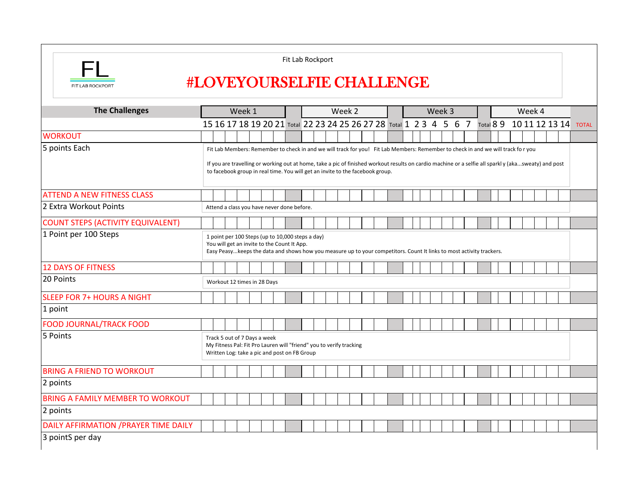|                                          |                                                                                                                                                                                                                                      |  |  |        |  |  |  | Fit Lab Rockport |  |  |  |        |  |  |  |                                                                                                                                  |  |        |  |  |  |  |        |                          |  |              |
|------------------------------------------|--------------------------------------------------------------------------------------------------------------------------------------------------------------------------------------------------------------------------------------|--|--|--------|--|--|--|------------------|--|--|--|--------|--|--|--|----------------------------------------------------------------------------------------------------------------------------------|--|--------|--|--|--|--|--------|--------------------------|--|--------------|
| FIT LAB ROCKPORT                         | <b>#LOVEYOURSELFIE CHALLENGE</b>                                                                                                                                                                                                     |  |  |        |  |  |  |                  |  |  |  |        |  |  |  |                                                                                                                                  |  |        |  |  |  |  |        |                          |  |              |
| <b>The Challenges</b>                    |                                                                                                                                                                                                                                      |  |  | Week 1 |  |  |  |                  |  |  |  | Week 2 |  |  |  |                                                                                                                                  |  | Week 3 |  |  |  |  | Week 4 |                          |  |              |
|                                          |                                                                                                                                                                                                                                      |  |  |        |  |  |  |                  |  |  |  |        |  |  |  | 15 16 17 18 19 20 21 Total 22 23 24 25 26 27 28 Total 1 2 3 4 5 6 7                                                              |  |        |  |  |  |  |        | Total 8 9 10 11 12 13 14 |  | <b>TOTAL</b> |
| <b>WORKOUT</b>                           |                                                                                                                                                                                                                                      |  |  |        |  |  |  |                  |  |  |  |        |  |  |  |                                                                                                                                  |  |        |  |  |  |  |        |                          |  |              |
| 5 points Each                            |                                                                                                                                                                                                                                      |  |  |        |  |  |  |                  |  |  |  |        |  |  |  | Fit Lab Members: Remember to check in and we will track for you! Fit Lab Members: Remember to check in and we will track for you |  |        |  |  |  |  |        |                          |  |              |
|                                          | If you are travelling or working out at home, take a pic of finished workout results on cardio machine or a selfie all sparkly (akasweaty) and post<br>to facebook group in real time. You will get an invite to the facebook group. |  |  |        |  |  |  |                  |  |  |  |        |  |  |  |                                                                                                                                  |  |        |  |  |  |  |        |                          |  |              |
| <b>ATTEND A NEW FITNESS CLASS</b>        |                                                                                                                                                                                                                                      |  |  |        |  |  |  |                  |  |  |  |        |  |  |  |                                                                                                                                  |  |        |  |  |  |  |        |                          |  |              |
| 2 Extra Workout Points                   | Attend a class you have never done before.                                                                                                                                                                                           |  |  |        |  |  |  |                  |  |  |  |        |  |  |  |                                                                                                                                  |  |        |  |  |  |  |        |                          |  |              |
| <b>COUNT STEPS (ACTIVITY EQUIVALENT)</b> |                                                                                                                                                                                                                                      |  |  |        |  |  |  |                  |  |  |  |        |  |  |  |                                                                                                                                  |  |        |  |  |  |  |        |                          |  |              |
| 1 Point per 100 Steps                    | 1 point per 100 Steps (up to 10,000 steps a day)<br>You will get an invite to the Count It App.<br>Easy Peasy keeps the data and shows how you measure up to your competitors. Count It links to most activity trackers.             |  |  |        |  |  |  |                  |  |  |  |        |  |  |  |                                                                                                                                  |  |        |  |  |  |  |        |                          |  |              |
| <b>12 DAYS OF FITNESS</b>                |                                                                                                                                                                                                                                      |  |  |        |  |  |  |                  |  |  |  |        |  |  |  |                                                                                                                                  |  |        |  |  |  |  |        |                          |  |              |
| 20 Points                                | Workout 12 times in 28 Days                                                                                                                                                                                                          |  |  |        |  |  |  |                  |  |  |  |        |  |  |  |                                                                                                                                  |  |        |  |  |  |  |        |                          |  |              |
| <b>SLEEP FOR 7+ HOURS A NIGHT</b>        |                                                                                                                                                                                                                                      |  |  |        |  |  |  |                  |  |  |  |        |  |  |  |                                                                                                                                  |  |        |  |  |  |  |        |                          |  |              |
| 1 point                                  |                                                                                                                                                                                                                                      |  |  |        |  |  |  |                  |  |  |  |        |  |  |  |                                                                                                                                  |  |        |  |  |  |  |        |                          |  |              |
| <b>FOOD JOURNAL/TRACK FOOD</b>           |                                                                                                                                                                                                                                      |  |  |        |  |  |  |                  |  |  |  |        |  |  |  |                                                                                                                                  |  |        |  |  |  |  |        |                          |  |              |
| 5 Points                                 | Track 5 out of 7 Days a week<br>My Fitness Pal: Fit Pro Lauren will "friend" you to verify tracking<br>Written Log: take a pic and post on FB Group                                                                                  |  |  |        |  |  |  |                  |  |  |  |        |  |  |  |                                                                                                                                  |  |        |  |  |  |  |        |                          |  |              |
| <b>BRING A FRIEND TO WORKOUT</b>         |                                                                                                                                                                                                                                      |  |  |        |  |  |  |                  |  |  |  |        |  |  |  |                                                                                                                                  |  |        |  |  |  |  |        |                          |  |              |
| 2 points                                 |                                                                                                                                                                                                                                      |  |  |        |  |  |  |                  |  |  |  |        |  |  |  |                                                                                                                                  |  |        |  |  |  |  |        |                          |  |              |
| <b>BRING A FAMILY MEMBER TO WORKOUT</b>  |                                                                                                                                                                                                                                      |  |  |        |  |  |  |                  |  |  |  |        |  |  |  |                                                                                                                                  |  |        |  |  |  |  |        |                          |  |              |
| 2 points                                 |                                                                                                                                                                                                                                      |  |  |        |  |  |  |                  |  |  |  |        |  |  |  |                                                                                                                                  |  |        |  |  |  |  |        |                          |  |              |
| DAILY AFFIRMATION / PRAYER TIME DAILY    |                                                                                                                                                                                                                                      |  |  |        |  |  |  |                  |  |  |  |        |  |  |  |                                                                                                                                  |  |        |  |  |  |  |        |                          |  |              |
| 3 pointS per day                         |                                                                                                                                                                                                                                      |  |  |        |  |  |  |                  |  |  |  |        |  |  |  |                                                                                                                                  |  |        |  |  |  |  |        |                          |  |              |
|                                          |                                                                                                                                                                                                                                      |  |  |        |  |  |  |                  |  |  |  |        |  |  |  |                                                                                                                                  |  |        |  |  |  |  |        |                          |  |              |